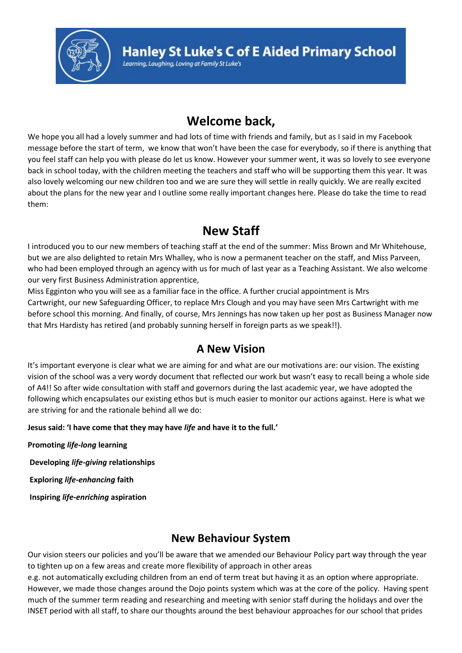

## **Welcome back,**

We hope you all had a lovely summer and had lots of time with friends and family, but as I said in my Facebook message before the start of term, we know that won't have been the case for everybody, so if there is anything that you feel staff can help you with please do let us know. However your summer went, it was so lovely to see everyone back in school today, with the children meeting the teachers and staff who will be supporting them this year. It was also lovely welcoming our new children too and we are sure they will settle in really quickly. We are really excited about the plans for the new year and I outline some really important changes here. Please do take the time to read them:

## **New Staff**

I introduced you to our new members of teaching staff at the end of the summer: Miss Brown and Mr Whitehouse, but we are also delighted to retain Mrs Whalley, who is now a permanent teacher on the staff, and Miss Parveen, who had been employed through an agency with us for much of last year as a Teaching Assistant. We also welcome our very first Business Administration apprentice,

Miss Egginton who you will see as a familiar face in the office. A further crucial appointment is Mrs Cartwright, our new Safeguarding Officer, to replace Mrs Clough and you may have seen Mrs Cartwright with me before school this morning. And finally, of course, Mrs Jennings has now taken up her post as Business Manager now that Mrs Hardisty has retired (and probably sunning herself in foreign parts as we speak!!).

#### **A New Vision**

It's important everyone is clear what we are aiming for and what are our motivations are: our vision. The existing vision of the school was a very wordy document that reflected our work but wasn't easy to recall being a whole side of A4!! So after wide consultation with staff and governors during the last academic year, we have adopted the following which encapsulates our existing ethos but is much easier to monitor our actions against. Here is what we are striving for and the rationale behind all we do:

#### **Jesus said: 'I have come that they may have** *life* **and have it to the full.'**

**Promoting** *life-long* **learning Developing** *life-giving* **relationships Exploring** *life-enhancing* **faith Inspiring** *life-enriching* **aspiration**

## **New Behaviour System**

Our vision steers our policies and you'll be aware that we amended our Behaviour Policy part way through the year to tighten up on a few areas and create more flexibility of approach in other areas

e.g. not automatically excluding children from an end of term treat but having it as an option where appropriate. However, we made those changes around the Dojo points system which was at the core of the policy. Having spent much of the summer term reading and researching and meeting with senior staff during the holidays and over the INSET period with all staff, to share our thoughts around the best behaviour approaches for our school that prides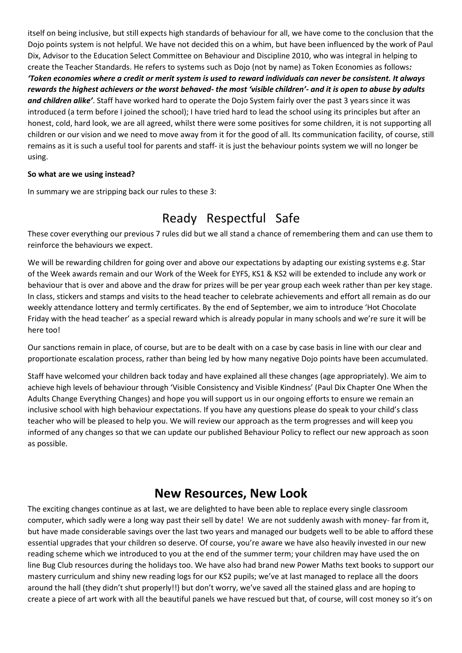itself on being inclusive, but still expects high standards of behaviour for all, we have come to the conclusion that the Dojo points system is not helpful. We have not decided this on a whim, but have been influenced by the work of Paul Dix, Advisor to the Education Select Committee on Behaviour and Discipline 2010, who was integral in helping to create the Teacher Standards. He refers to systems such as Dojo (not by name) as Token Economies as follows*: 'Token economies where a credit or merit system is used to reward individuals can never be consistent. It always rewards the highest achievers or the worst behaved- the most 'visible children'- and it is open to abuse by adults and children alike'*. Staff have worked hard to operate the Dojo System fairly over the past 3 years since it was introduced (a term before I joined the school); I have tried hard to lead the school using its principles but after an honest, cold, hard look, we are all agreed, whilst there were some positives for some children, it is not supporting all children or our vision and we need to move away from it for the good of all. Its communication facility, of course, still remains as it is such a useful tool for parents and staff- it is just the behaviour points system we will no longer be using.

#### **So what are we using instead?**

In summary we are stripping back our rules to these 3:

# Ready Respectful Safe

These cover everything our previous 7 rules did but we all stand a chance of remembering them and can use them to reinforce the behaviours we expect.

We will be rewarding children for going over and above our expectations by adapting our existing systems e.g. Star of the Week awards remain and our Work of the Week for EYFS, KS1 & KS2 will be extended to include any work or behaviour that is over and above and the draw for prizes will be per year group each week rather than per key stage. In class, stickers and stamps and visits to the head teacher to celebrate achievements and effort all remain as do our weekly attendance lottery and termly certificates. By the end of September, we aim to introduce 'Hot Chocolate Friday with the head teacher' as a special reward which is already popular in many schools and we're sure it will be here too!

Our sanctions remain in place, of course, but are to be dealt with on a case by case basis in line with our clear and proportionate escalation process, rather than being led by how many negative Dojo points have been accumulated.

Staff have welcomed your children back today and have explained all these changes (age appropriately). We aim to achieve high levels of behaviour through 'Visible Consistency and Visible Kindness' (Paul Dix Chapter One When the Adults Change Everything Changes) and hope you will support us in our ongoing efforts to ensure we remain an inclusive school with high behaviour expectations. If you have any questions please do speak to your child's class teacher who will be pleased to help you. We will review our approach as the term progresses and will keep you informed of any changes so that we can update our published Behaviour Policy to reflect our new approach as soon as possible.

## **New Resources, New Look**

The exciting changes continue as at last, we are delighted to have been able to replace every single classroom computer, which sadly were a long way past their sell by date! We are not suddenly awash with money- far from it, but have made considerable savings over the last two years and managed our budgets well to be able to afford these essential upgrades that your children so deserve. Of course, you're aware we have also heavily invested in our new reading scheme which we introduced to you at the end of the summer term; your children may have used the on line Bug Club resources during the holidays too. We have also had brand new Power Maths text books to support our mastery curriculum and shiny new reading logs for our KS2 pupils; we've at last managed to replace all the doors around the hall (they didn't shut properly!!) but don't worry, we've saved all the stained glass and are hoping to create a piece of art work with all the beautiful panels we have rescued but that, of course, will cost money so it's on